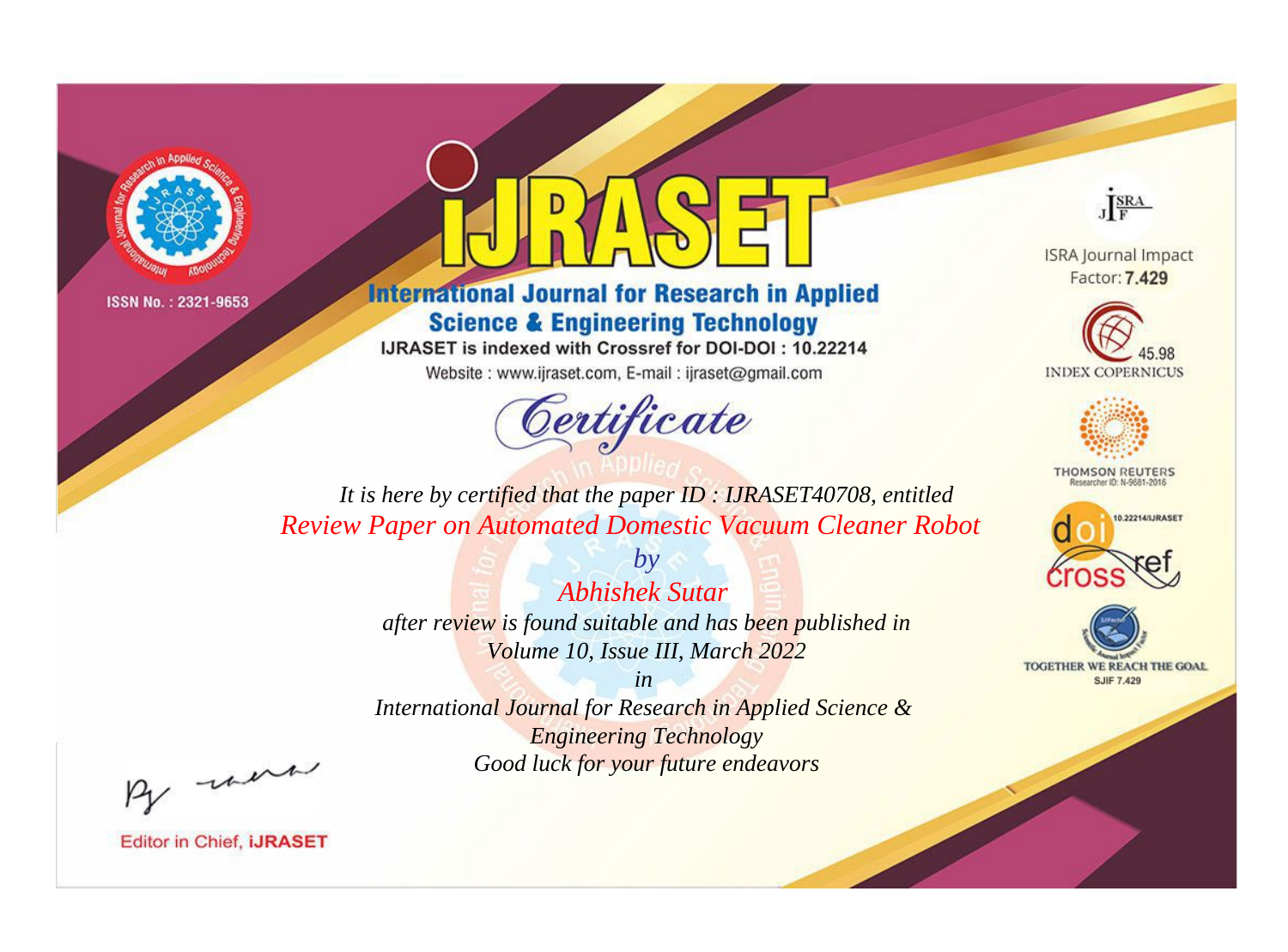



**International Journal for Research in Applied Science & Engineering Technology** 

IJRASET is indexed with Crossref for DOI-DOI: 10.22214

Website: www.ijraset.com, E-mail: ijraset@gmail.com



JERA

**ISRA Journal Impact** Factor: 7.429





**THOMSON REUTERS** 



TOGETHER WE REACH THE GOAL **SJIF 7.429** 

*It is here by certified that the paper ID : IJRASET40708, entitled Review Paper on Automated Domestic Vacuum Cleaner Robot*

> *Abhishek Sutar after review is found suitable and has been published in Volume 10, Issue III, March 2022*

*by*

*in* 

*International Journal for Research in Applied Science & Engineering Technology Good luck for your future endeavors*

By morn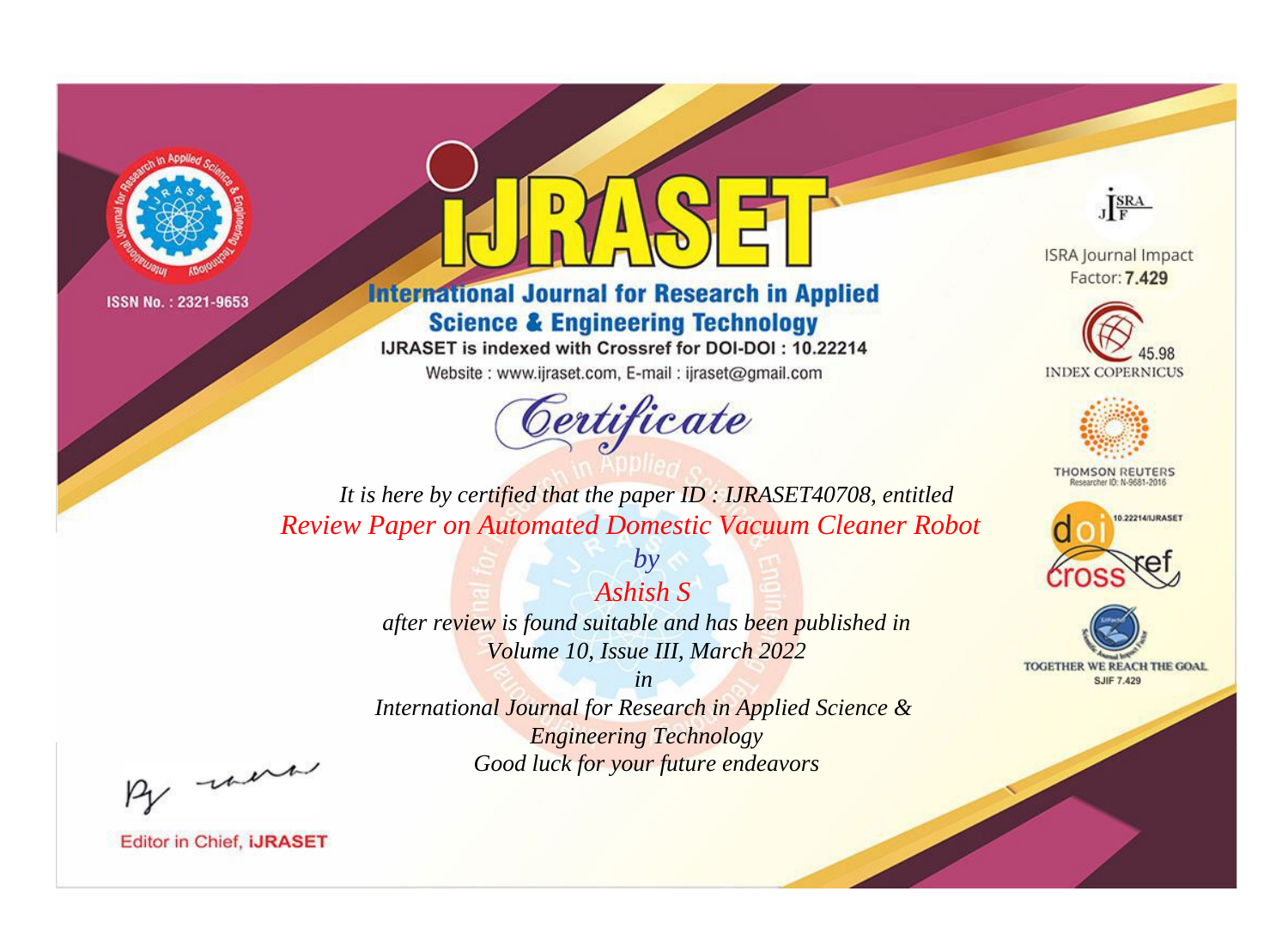

## **International Journal for Research in Applied Science & Engineering Technology**

IJRASET is indexed with Crossref for DOI-DOI: 10.22214

Website: www.ijraset.com, E-mail: ijraset@gmail.com

# Certificate



**ISRA Journal Impact** Factor: 7.429





**THOMSON REUTERS** 



TOGETHER WE REACH THE GOAL **SJIF 7.429** 

*It is here by certified that the paper ID : IJRASET40708, entitled Review Paper on Automated Domestic Vacuum Cleaner Robot*

*Ashish S* 

*by*

*after review is found suitable and has been published in Volume 10, Issue III, March 2022*

*in* 

*International Journal for Research in Applied Science & Engineering Technology Good luck for your future endeavors*

By morn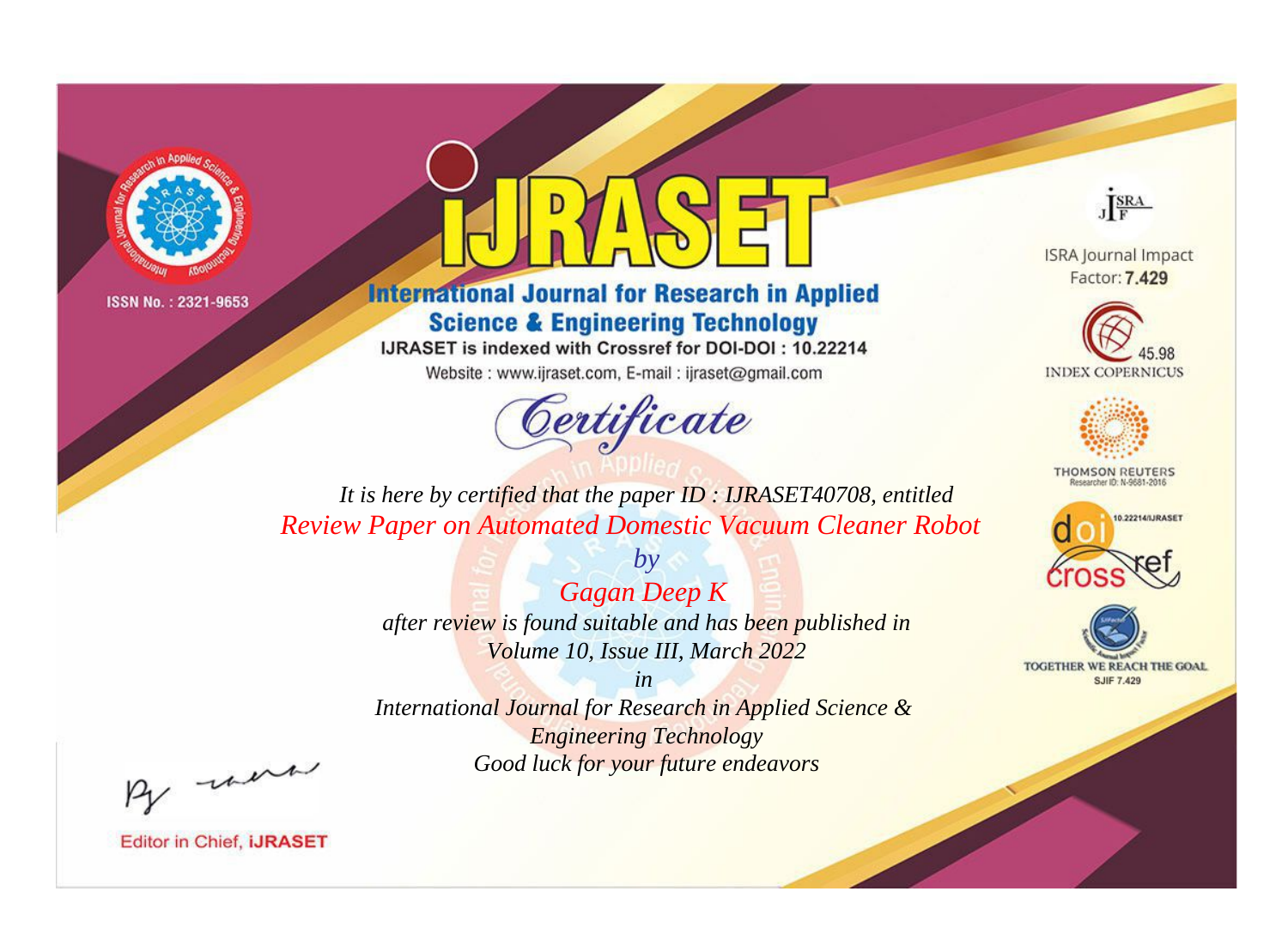



**International Journal for Research in Applied Science & Engineering Technology** 

IJRASET is indexed with Crossref for DOI-DOI: 10.22214

Website: www.ijraset.com, E-mail: ijraset@gmail.com



JERA

**ISRA Journal Impact** Factor: 7.429





**THOMSON REUTERS** 



TOGETHER WE REACH THE GOAL **SJIF 7.429** 

It is here by certified that the paper ID: IJRASET40708, entitled **Review Paper on Automated Domestic Vacuum Cleaner Robot** 

> **Gagan Deep K** after review is found suitable and has been published in Volume 10, Issue III, March 2022

 $by$ 

 $in$ International Journal for Research in Applied Science & **Engineering Technology** Good luck for your future endeavors

By morn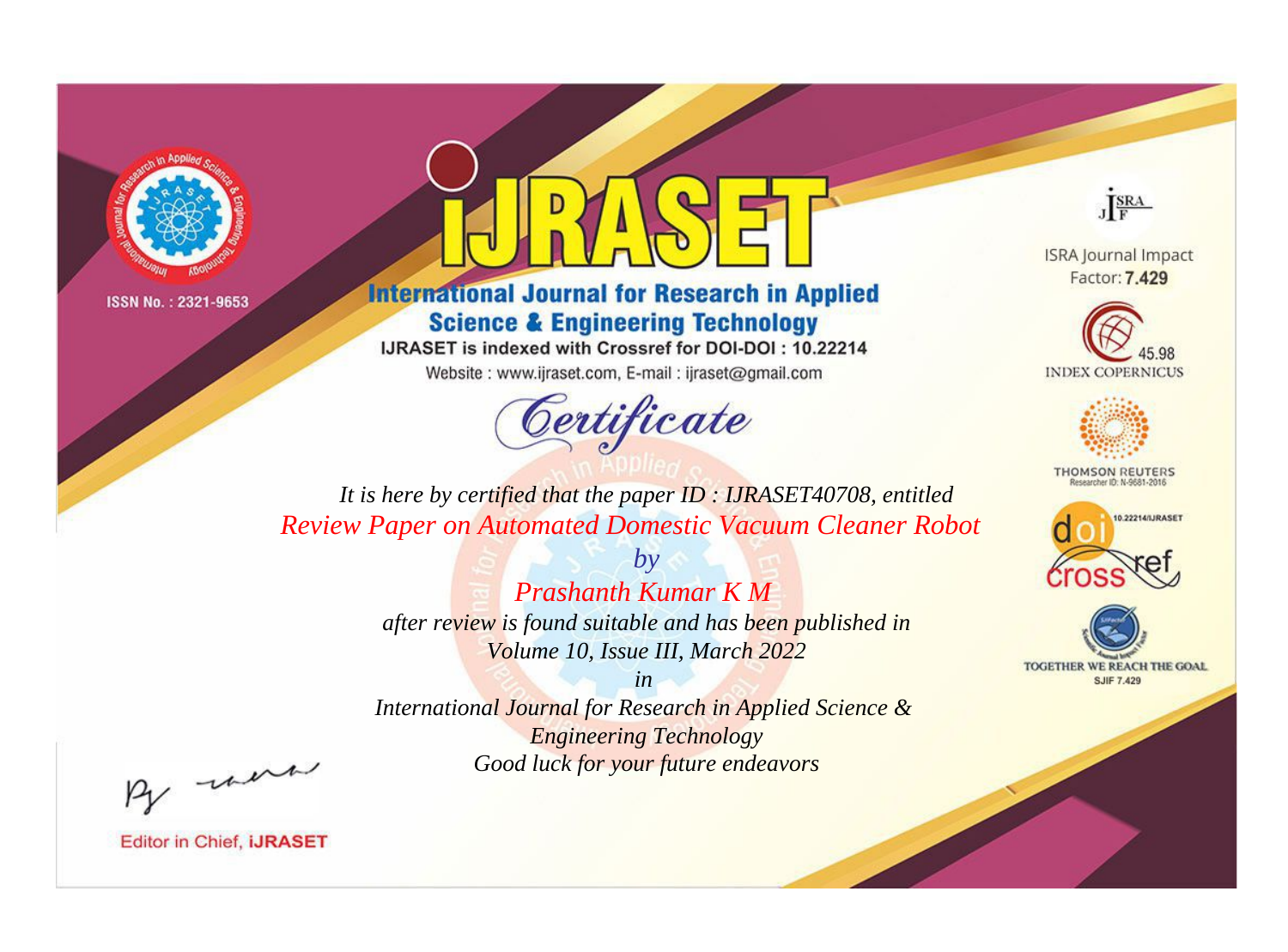

## **International Journal for Research in Applied Science & Engineering Technology**

IJRASET is indexed with Crossref for DOI-DOI: 10.22214

Website: www.ijraset.com, E-mail: ijraset@gmail.com

## Certificate



**ISRA Journal Impact** Factor: 7.429





**THOMSON REUTERS** 



TOGETHER WE REACH THE GOAL **SJIF 7.429** 

It is here by certified that the paper ID: IJRASET40708, entitled **Review Paper on Automated Domestic Vacuum Cleaner Robot** 

> $b\nu$ **Prashanth Kumar K M** after review is found suitable and has been published in Volume 10, Issue III, March 2022

 $in$ International Journal for Research in Applied Science & **Engineering Technology** Good luck for your future endeavors

By morn